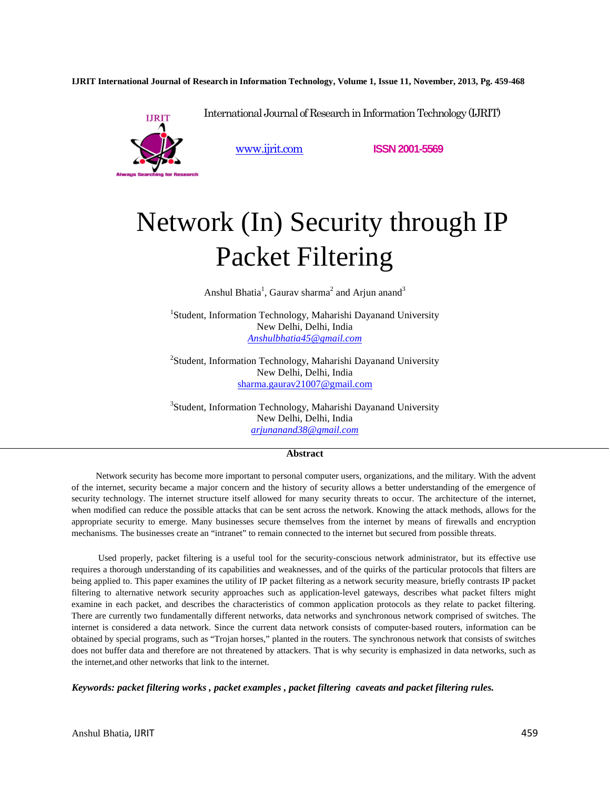**IJRIT International Journal of Research in Information Technology, Volume 1, Issue 11, November, 2013, Pg. 459-468**



www.ijrit.com **ISSN 2001-5569**

# Network (In) Security through IP Packet Filtering

International Journal of Research in Information Technology (IJRIT)

Anshul Bhatia<sup>1</sup>, Gaurav sharma<sup>2</sup> and Arjun anand<sup>3</sup>

<sup>1</sup>Student, Information Technology, Maharishi Dayanand University New Delhi, Delhi, India *Anshulbhatia45@gmail.com* 

<sup>2</sup>Student, Information Technology, Maharishi Dayanand University New Delhi, Delhi, India sharma.gaurav21007@gmail.com

3 Student, Information Technology, Maharishi Dayanand University New Delhi, Delhi, India *arjunanand38@gmail.com*

# **Abstract**

Network security has become more important to personal computer users, organizations, and the military. With the advent of the internet, security became a major concern and the history of security allows a better understanding of the emergence of security technology. The internet structure itself allowed for many security threats to occur. The architecture of the internet, when modified can reduce the possible attacks that can be sent across the network. Knowing the attack methods, allows for the appropriate security to emerge. Many businesses secure themselves from the internet by means of firewalls and encryption mechanisms. The businesses create an "intranet" to remain connected to the internet but secured from possible threats.

 Used properly, packet filtering is a useful tool for the security-conscious network administrator, but its effective use requires a thorough understanding of its capabilities and weaknesses, and of the quirks of the particular protocols that filters are being applied to. This paper examines the utility of IP packet filtering as a network security measure, briefly contrasts IP packet filtering to alternative network security approaches such as application-level gateways, describes what packet filters might examine in each packet, and describes the characteristics of common application protocols as they relate to packet filtering. There are currently two fundamentally different networks, data networks and synchronous network comprised of switches. The internet is considered a data network. Since the current data network consists of computer-based routers, information can be obtained by special programs, such as "Trojan horses," planted in the routers. The synchronous network that consists of switches does not buffer data and therefore are not threatened by attackers. That is why security is emphasized in data networks, such as the internet,and other networks that link to the internet.

*Keywords: packet filtering works , packet examples , packet filtering caveats and packet filtering rules.*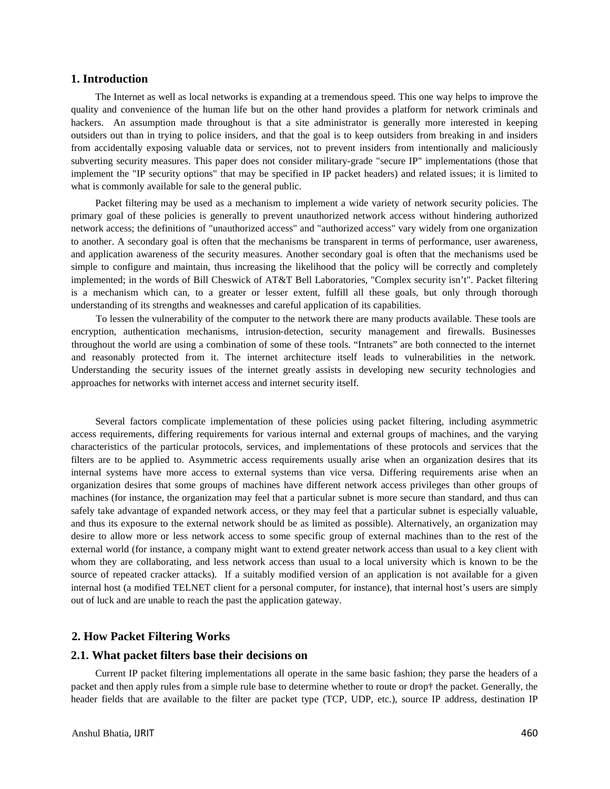# **1. Introduction**

The Internet as well as local networks is expanding at a tremendous speed. This one way helps to improve the quality and convenience of the human life but on the other hand provides a platform for network criminals and hackers. An assumption made throughout is that a site administrator is generally more interested in keeping outsiders out than in trying to police insiders, and that the goal is to keep outsiders from breaking in and insiders from accidentally exposing valuable data or services, not to prevent insiders from intentionally and maliciously subverting security measures. This paper does not consider military-grade "secure IP" implementations (those that implement the "IP security options" that may be specified in IP packet headers) and related issues; it is limited to what is commonly available for sale to the general public.

Packet filtering may be used as a mechanism to implement a wide variety of network security policies. The primary goal of these policies is generally to prevent unauthorized network access without hindering authorized network access; the definitions of "unauthorized access" and "authorized access" vary widely from one organization to another. A secondary goal is often that the mechanisms be transparent in terms of performance, user awareness, and application awareness of the security measures. Another secondary goal is often that the mechanisms used be simple to configure and maintain, thus increasing the likelihood that the policy will be correctly and completely implemented; in the words of Bill Cheswick of AT&T Bell Laboratories, "Complex security isn't". Packet filtering is a mechanism which can, to a greater or lesser extent, fulfill all these goals, but only through thorough understanding of its strengths and weaknesses and careful application of its capabilities.

To lessen the vulnerability of the computer to the network there are many products available. These tools are encryption, authentication mechanisms, intrusion-detection, security management and firewalls. Businesses throughout the world are using a combination of some of these tools. "Intranets" are both connected to the internet and reasonably protected from it. The internet architecture itself leads to vulnerabilities in the network. Understanding the security issues of the internet greatly assists in developing new security technologies and approaches for networks with internet access and internet security itself.

Several factors complicate implementation of these policies using packet filtering, including asymmetric access requirements, differing requirements for various internal and external groups of machines, and the varying characteristics of the particular protocols, services, and implementations of these protocols and services that the filters are to be applied to. Asymmetric access requirements usually arise when an organization desires that its internal systems have more access to external systems than vice versa. Differing requirements arise when an organization desires that some groups of machines have different network access privileges than other groups of machines (for instance, the organization may feel that a particular subnet is more secure than standard, and thus can safely take advantage of expanded network access, or they may feel that a particular subnet is especially valuable, and thus its exposure to the external network should be as limited as possible). Alternatively, an organization may desire to allow more or less network access to some specific group of external machines than to the rest of the external world (for instance, a company might want to extend greater network access than usual to a key client with whom they are collaborating, and less network access than usual to a local university which is known to be the source of repeated cracker attacks). If a suitably modified version of an application is not available for a given internal host (a modified TELNET client for a personal computer, for instance), that internal host's users are simply out of luck and are unable to reach the past the application gateway.

# **2. How Packet Filtering Works**

# **2.1. What packet filters base their decisions on**

Current IP packet filtering implementations all operate in the same basic fashion; they parse the headers of a packet and then apply rules from a simple rule base to determine whether to route or drop† the packet. Generally, the header fields that are available to the filter are packet type (TCP, UDP, etc.), source IP address, destination IP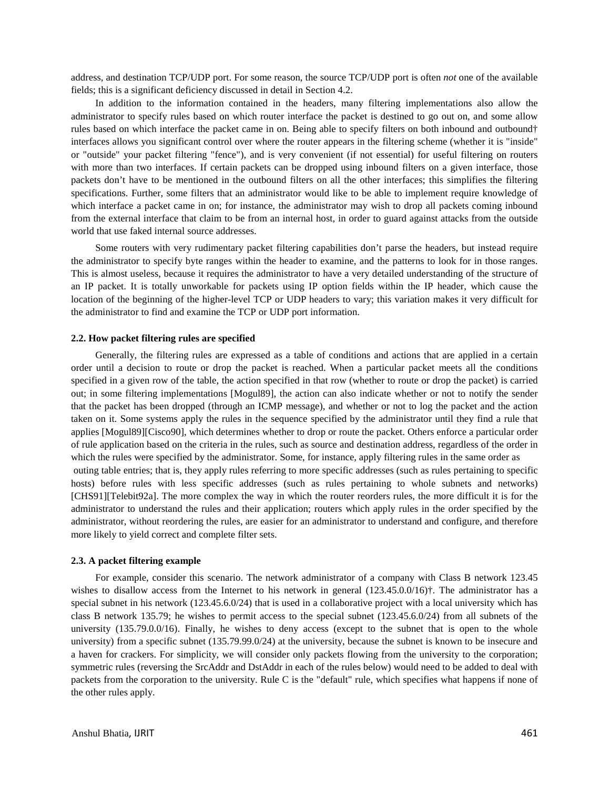address, and destination TCP/UDP port. For some reason, the source TCP/UDP port is often *not* one of the available fields; this is a significant deficiency discussed in detail in Section 4.2.

In addition to the information contained in the headers, many filtering implementations also allow the administrator to specify rules based on which router interface the packet is destined to go out on, and some allow rules based on which interface the packet came in on. Being able to specify filters on both inbound and outbound† interfaces allows you significant control over where the router appears in the filtering scheme (whether it is "inside" or "outside" your packet filtering "fence"), and is very convenient (if not essential) for useful filtering on routers with more than two interfaces. If certain packets can be dropped using inbound filters on a given interface, those packets don't have to be mentioned in the outbound filters on all the other interfaces; this simplifies the filtering specifications. Further, some filters that an administrator would like to be able to implement require knowledge of which interface a packet came in on; for instance, the administrator may wish to drop all packets coming inbound from the external interface that claim to be from an internal host, in order to guard against attacks from the outside world that use faked internal source addresses.

Some routers with very rudimentary packet filtering capabilities don't parse the headers, but instead require the administrator to specify byte ranges within the header to examine, and the patterns to look for in those ranges. This is almost useless, because it requires the administrator to have a very detailed understanding of the structure of an IP packet. It is totally unworkable for packets using IP option fields within the IP header, which cause the location of the beginning of the higher-level TCP or UDP headers to vary; this variation makes it very difficult for the administrator to find and examine the TCP or UDP port information.

#### **2.2. How packet filtering rules are specified**

Generally, the filtering rules are expressed as a table of conditions and actions that are applied in a certain order until a decision to route or drop the packet is reached. When a particular packet meets all the conditions specified in a given row of the table, the action specified in that row (whether to route or drop the packet) is carried out; in some filtering implementations [Mogul89], the action can also indicate whether or not to notify the sender that the packet has been dropped (through an ICMP message), and whether or not to log the packet and the action taken on it. Some systems apply the rules in the sequence specified by the administrator until they find a rule that applies [Mogul89][Cisco90], which determines whether to drop or route the packet. Others enforce a particular order of rule application based on the criteria in the rules, such as source and destination address, regardless of the order in which the rules were specified by the administrator. Some, for instance, apply filtering rules in the same order as

 outing table entries; that is, they apply rules referring to more specific addresses (such as rules pertaining to specific hosts) before rules with less specific addresses (such as rules pertaining to whole subnets and networks) [CHS91][Telebit92a]. The more complex the way in which the router reorders rules, the more difficult it is for the administrator to understand the rules and their application; routers which apply rules in the order specified by the administrator, without reordering the rules, are easier for an administrator to understand and configure, and therefore more likely to yield correct and complete filter sets.

#### **2.3. A packet filtering example**

For example, consider this scenario. The network administrator of a company with Class B network 123.45 wishes to disallow access from the Internet to his network in general (123.45.0.0/16)<sup>†</sup>. The administrator has a special subnet in his network (123.45.6.0/24) that is used in a collaborative project with a local university which has class B network 135.79; he wishes to permit access to the special subnet (123.45.6.0/24) from all subnets of the university (135.79.0.0/16). Finally, he wishes to deny access (except to the subnet that is open to the whole university) from a specific subnet (135.79.99.0/24) at the university, because the subnet is known to be insecure and a haven for crackers. For simplicity, we will consider only packets flowing from the university to the corporation; symmetric rules (reversing the SrcAddr and DstAddr in each of the rules below) would need to be added to deal with packets from the corporation to the university. Rule C is the "default" rule, which specifies what happens if none of the other rules apply.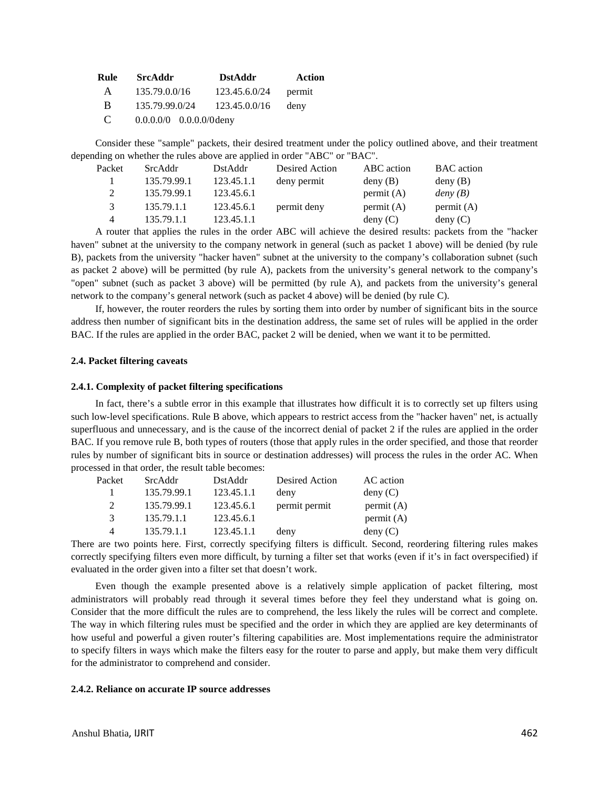| Rule         | <b>SrcAddr</b>             | <b>DstAddr</b> | Action |  |
|--------------|----------------------------|----------------|--------|--|
| $\mathsf{A}$ | 135.79.0.0/16              | 123.45.6.0/24  | permit |  |
| <sup>B</sup> | 135.79.99.0/24             | 123.45.0.0/16  | deny   |  |
| -C           | $0.0.0.0/0$ 0.0.0.0/0 deny |                |        |  |

Consider these "sample" packets, their desired treatment under the policy outlined above, and their treatment depending on whether the rules above are applied in order "ABC" or "BAC".

| Packet         | SrcAddr     | DstAddr    | Desired Action | ABC action   | <b>BAC</b> action |
|----------------|-------------|------------|----------------|--------------|-------------------|
|                | 135.79.99.1 | 123.45.1.1 | deny permit    | deny(B)      | deny(B)           |
| $\mathfrak{D}$ | 135.79.99.1 | 123.45.6.1 |                | permit $(A)$ | deny(B)           |
| 3              | 135.79.1.1  | 123.45.6.1 | permit deny    | permit $(A)$ | permit $(A)$      |
| 4              | 135.79.1.1  | 123.45.1.1 |                | deny(C)      | deny(C)           |

A router that applies the rules in the order ABC will achieve the desired results: packets from the "hacker haven" subnet at the university to the company network in general (such as packet 1 above) will be denied (by rule B), packets from the university "hacker haven" subnet at the university to the company's collaboration subnet (such as packet 2 above) will be permitted (by rule A), packets from the university's general network to the company's "open" subnet (such as packet 3 above) will be permitted (by rule A), and packets from the university's general network to the company's general network (such as packet 4 above) will be denied (by rule C).

If, however, the router reorders the rules by sorting them into order by number of significant bits in the source address then number of significant bits in the destination address, the same set of rules will be applied in the order BAC. If the rules are applied in the order BAC, packet 2 will be denied, when we want it to be permitted.

### **2.4. Packet filtering caveats**

#### **2.4.1. Complexity of packet filtering specifications**

In fact, there's a subtle error in this example that illustrates how difficult it is to correctly set up filters using such low-level specifications. Rule B above, which appears to restrict access from the "hacker haven" net, is actually superfluous and unnecessary, and is the cause of the incorrect denial of packet 2 if the rules are applied in the order BAC. If you remove rule B, both types of routers (those that apply rules in the order specified, and those that reorder rules by number of significant bits in source or destination addresses) will process the rules in the order AC. When processed in that order, the result table becomes:

| Packet                      | SrcAddr     | DstAddr    | Desired Action | AC action |
|-----------------------------|-------------|------------|----------------|-----------|
|                             | 135.79.99.1 | 123.45.1.1 | deny           | deny(C)   |
| $\mathcal{D}_{\mathcal{L}}$ | 135.79.99.1 | 123.45.6.1 | permit permit  | permit(A) |
| 3                           | 135.79.1.1  | 123.45.6.1 |                | permit(A) |
| Δ                           | 135.79.1.1  | 123.45.1.1 | deny           | deny(C)   |

There are two points here. First, correctly specifying filters is difficult. Second, reordering filtering rules makes correctly specifying filters even more difficult, by turning a filter set that works (even if it's in fact overspecified) if evaluated in the order given into a filter set that doesn't work.

Even though the example presented above is a relatively simple application of packet filtering, most administrators will probably read through it several times before they feel they understand what is going on. Consider that the more difficult the rules are to comprehend, the less likely the rules will be correct and complete. The way in which filtering rules must be specified and the order in which they are applied are key determinants of how useful and powerful a given router's filtering capabilities are. Most implementations require the administrator to specify filters in ways which make the filters easy for the router to parse and apply, but make them very difficult for the administrator to comprehend and consider.

# **2.4.2. Reliance on accurate IP source addresses**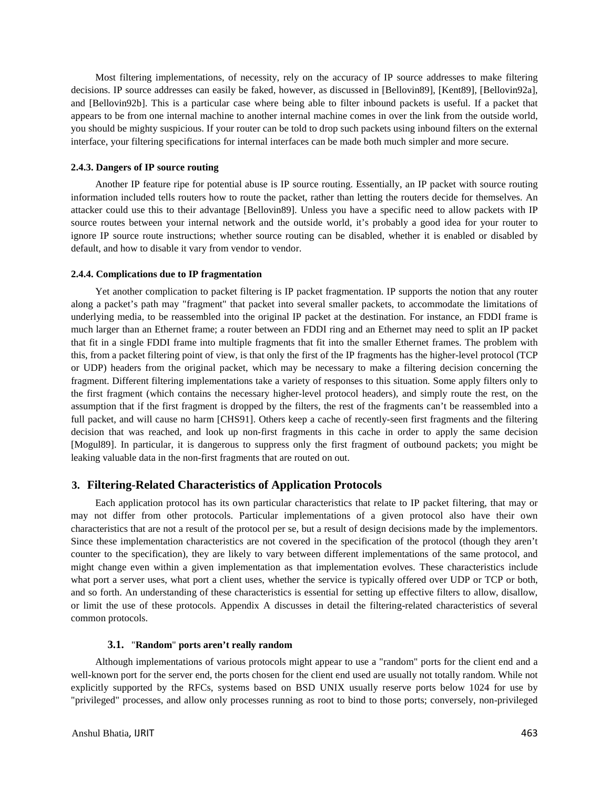Most filtering implementations, of necessity, rely on the accuracy of IP source addresses to make filtering decisions. IP source addresses can easily be faked, however, as discussed in [Bellovin89], [Kent89], [Bellovin92a], and [Bellovin92b]. This is a particular case where being able to filter inbound packets is useful. If a packet that appears to be from one internal machine to another internal machine comes in over the link from the outside world, you should be mighty suspicious. If your router can be told to drop such packets using inbound filters on the external interface, your filtering specifications for internal interfaces can be made both much simpler and more secure.

#### **2.4.3. Dangers of IP source routing**

Another IP feature ripe for potential abuse is IP source routing. Essentially, an IP packet with source routing information included tells routers how to route the packet, rather than letting the routers decide for themselves. An attacker could use this to their advantage [Bellovin89]. Unless you have a specific need to allow packets with IP source routes between your internal network and the outside world, it's probably a good idea for your router to ignore IP source route instructions; whether source routing can be disabled, whether it is enabled or disabled by default, and how to disable it vary from vendor to vendor.

#### **2.4.4. Complications due to IP fragmentation**

Yet another complication to packet filtering is IP packet fragmentation. IP supports the notion that any router along a packet's path may "fragment" that packet into several smaller packets, to accommodate the limitations of underlying media, to be reassembled into the original IP packet at the destination. For instance, an FDDI frame is much larger than an Ethernet frame; a router between an FDDI ring and an Ethernet may need to split an IP packet that fit in a single FDDI frame into multiple fragments that fit into the smaller Ethernet frames. The problem with this, from a packet filtering point of view, is that only the first of the IP fragments has the higher-level protocol (TCP or UDP) headers from the original packet, which may be necessary to make a filtering decision concerning the fragment. Different filtering implementations take a variety of responses to this situation. Some apply filters only to the first fragment (which contains the necessary higher-level protocol headers), and simply route the rest, on the assumption that if the first fragment is dropped by the filters, the rest of the fragments can't be reassembled into a full packet, and will cause no harm [CHS91]. Others keep a cache of recently-seen first fragments and the filtering decision that was reached, and look up non-first fragments in this cache in order to apply the same decision [Mogul89]. In particular, it is dangerous to suppress only the first fragment of outbound packets; you might be leaking valuable data in the non-first fragments that are routed on out.

# **3. Filtering-Related Characteristics of Application Protocols**

Each application protocol has its own particular characteristics that relate to IP packet filtering, that may or may not differ from other protocols. Particular implementations of a given protocol also have their own characteristics that are not a result of the protocol per se, but a result of design decisions made by the implementors. Since these implementation characteristics are not covered in the specification of the protocol (though they aren't counter to the specification), they are likely to vary between different implementations of the same protocol, and might change even within a given implementation as that implementation evolves. These characteristics include what port a server uses, what port a client uses, whether the service is typically offered over UDP or TCP or both, and so forth. An understanding of these characteristics is essential for setting up effective filters to allow, disallow, or limit the use of these protocols. Appendix A discusses in detail the filtering-related characteristics of several common protocols.

#### **3.1.** "**Random**" **ports aren't really random**

Although implementations of various protocols might appear to use a "random" ports for the client end and a well-known port for the server end, the ports chosen for the client end used are usually not totally random. While not explicitly supported by the RFCs, systems based on BSD UNIX usually reserve ports below 1024 for use by "privileged" processes, and allow only processes running as root to bind to those ports; conversely, non-privileged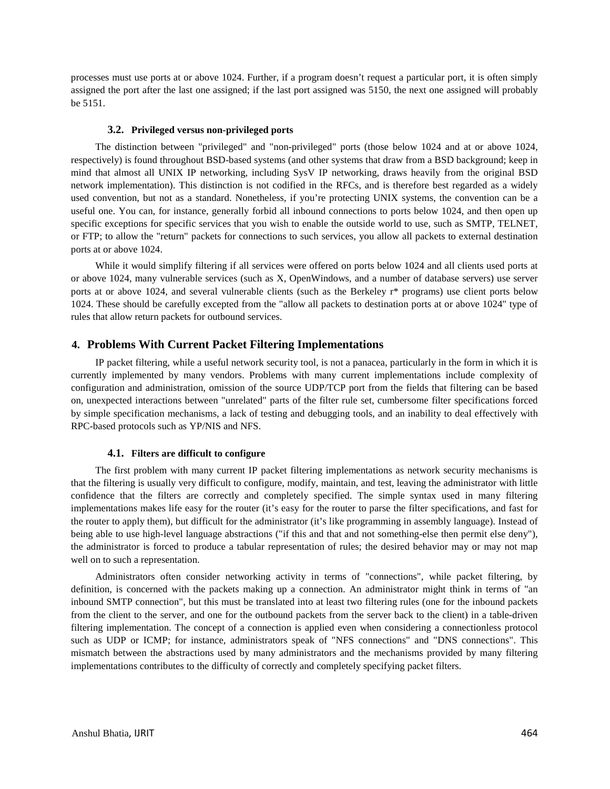processes must use ports at or above 1024. Further, if a program doesn't request a particular port, it is often simply assigned the port after the last one assigned; if the last port assigned was 5150, the next one assigned will probably be 5151.

#### **3.2. Privileged versus non-privileged ports**

The distinction between "privileged" and "non-privileged" ports (those below 1024 and at or above 1024, respectively) is found throughout BSD-based systems (and other systems that draw from a BSD background; keep in mind that almost all UNIX IP networking, including SysV IP networking, draws heavily from the original BSD network implementation). This distinction is not codified in the RFCs, and is therefore best regarded as a widely used convention, but not as a standard. Nonetheless, if you're protecting UNIX systems, the convention can be a useful one. You can, for instance, generally forbid all inbound connections to ports below 1024, and then open up specific exceptions for specific services that you wish to enable the outside world to use, such as SMTP, TELNET, or FTP; to allow the "return" packets for connections to such services, you allow all packets to external destination ports at or above 1024.

While it would simplify filtering if all services were offered on ports below 1024 and all clients used ports at or above 1024, many vulnerable services (such as X, OpenWindows, and a number of database servers) use server ports at or above 1024, and several vulnerable clients (such as the Berkeley r\* programs) use client ports below 1024. These should be carefully excepted from the "allow all packets to destination ports at or above 1024" type of rules that allow return packets for outbound services.

# **4. Problems With Current Packet Filtering Implementations**

IP packet filtering, while a useful network security tool, is not a panacea, particularly in the form in which it is currently implemented by many vendors. Problems with many current implementations include complexity of configuration and administration, omission of the source UDP/TCP port from the fields that filtering can be based on, unexpected interactions between "unrelated" parts of the filter rule set, cumbersome filter specifications forced by simple specification mechanisms, a lack of testing and debugging tools, and an inability to deal effectively with RPC-based protocols such as YP/NIS and NFS.

#### **4.1. Filters are difficult to configure**

The first problem with many current IP packet filtering implementations as network security mechanisms is that the filtering is usually very difficult to configure, modify, maintain, and test, leaving the administrator with little confidence that the filters are correctly and completely specified. The simple syntax used in many filtering implementations makes life easy for the router (it's easy for the router to parse the filter specifications, and fast for the router to apply them), but difficult for the administrator (it's like programming in assembly language). Instead of being able to use high-level language abstractions ("if this and that and not something-else then permit else deny"), the administrator is forced to produce a tabular representation of rules; the desired behavior may or may not map well on to such a representation.

Administrators often consider networking activity in terms of "connections", while packet filtering, by definition, is concerned with the packets making up a connection. An administrator might think in terms of "an inbound SMTP connection", but this must be translated into at least two filtering rules (one for the inbound packets from the client to the server, and one for the outbound packets from the server back to the client) in a table-driven filtering implementation. The concept of a connection is applied even when considering a connectionless protocol such as UDP or ICMP; for instance, administrators speak of "NFS connections" and "DNS connections". This mismatch between the abstractions used by many administrators and the mechanisms provided by many filtering implementations contributes to the difficulty of correctly and completely specifying packet filters.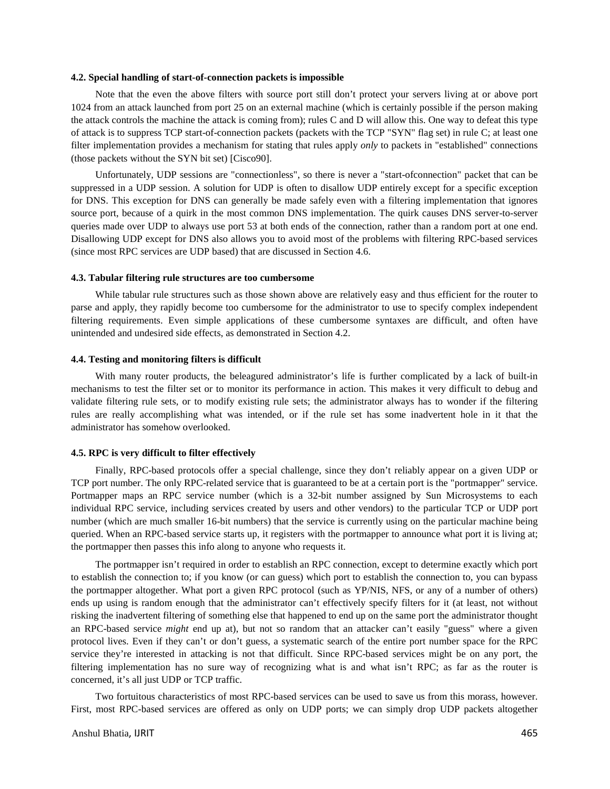#### **4.2. Special handling of start-of-connection packets is impossible**

Note that the even the above filters with source port still don't protect your servers living at or above port 1024 from an attack launched from port 25 on an external machine (which is certainly possible if the person making the attack controls the machine the attack is coming from); rules C and D will allow this. One way to defeat this type of attack is to suppress TCP start-of-connection packets (packets with the TCP "SYN" flag set) in rule C; at least one filter implementation provides a mechanism for stating that rules apply *only* to packets in "established" connections (those packets without the SYN bit set) [Cisco90].

Unfortunately, UDP sessions are "connectionless", so there is never a "start-ofconnection" packet that can be suppressed in a UDP session. A solution for UDP is often to disallow UDP entirely except for a specific exception for DNS. This exception for DNS can generally be made safely even with a filtering implementation that ignores source port, because of a quirk in the most common DNS implementation. The quirk causes DNS server-to-server queries made over UDP to always use port 53 at both ends of the connection, rather than a random port at one end. Disallowing UDP except for DNS also allows you to avoid most of the problems with filtering RPC-based services (since most RPC services are UDP based) that are discussed in Section 4.6.

#### **4.3. Tabular filtering rule structures are too cumbersome**

While tabular rule structures such as those shown above are relatively easy and thus efficient for the router to parse and apply, they rapidly become too cumbersome for the administrator to use to specify complex independent filtering requirements. Even simple applications of these cumbersome syntaxes are difficult, and often have unintended and undesired side effects, as demonstrated in Section 4.2.

# **4.4. Testing and monitoring filters is difficult**

With many router products, the beleagured administrator's life is further complicated by a lack of built-in mechanisms to test the filter set or to monitor its performance in action. This makes it very difficult to debug and validate filtering rule sets, or to modify existing rule sets; the administrator always has to wonder if the filtering rules are really accomplishing what was intended, or if the rule set has some inadvertent hole in it that the administrator has somehow overlooked.

#### **4.5. RPC is very difficult to filter effectively**

Finally, RPC-based protocols offer a special challenge, since they don't reliably appear on a given UDP or TCP port number. The only RPC-related service that is guaranteed to be at a certain port is the "portmapper" service. Portmapper maps an RPC service number (which is a 32-bit number assigned by Sun Microsystems to each individual RPC service, including services created by users and other vendors) to the particular TCP or UDP port number (which are much smaller 16-bit numbers) that the service is currently using on the particular machine being queried. When an RPC-based service starts up, it registers with the portmapper to announce what port it is living at; the portmapper then passes this info along to anyone who requests it.

The portmapper isn't required in order to establish an RPC connection, except to determine exactly which port to establish the connection to; if you know (or can guess) which port to establish the connection to, you can bypass the portmapper altogether. What port a given RPC protocol (such as YP/NIS, NFS, or any of a number of others) ends up using is random enough that the administrator can't effectively specify filters for it (at least, not without risking the inadvertent filtering of something else that happened to end up on the same port the administrator thought an RPC-based service *might* end up at), but not so random that an attacker can't easily "guess" where a given protocol lives. Even if they can't or don't guess, a systematic search of the entire port number space for the RPC service they're interested in attacking is not that difficult. Since RPC-based services might be on any port, the filtering implementation has no sure way of recognizing what is and what isn't RPC; as far as the router is concerned, it's all just UDP or TCP traffic.

Two fortuitous characteristics of most RPC-based services can be used to save us from this morass, however. First, most RPC-based services are offered as only on UDP ports; we can simply drop UDP packets altogether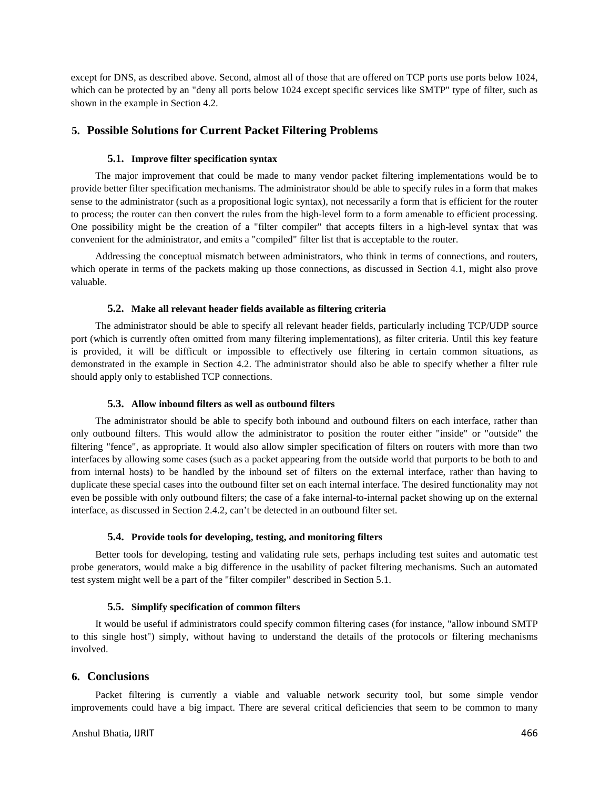except for DNS, as described above. Second, almost all of those that are offered on TCP ports use ports below 1024, which can be protected by an "deny all ports below 1024 except specific services like SMTP" type of filter, such as shown in the example in Section 4.2.

# **5. Possible Solutions for Current Packet Filtering Problems**

# **5.1. Improve filter specification syntax**

The major improvement that could be made to many vendor packet filtering implementations would be to provide better filter specification mechanisms. The administrator should be able to specify rules in a form that makes sense to the administrator (such as a propositional logic syntax), not necessarily a form that is efficient for the router to process; the router can then convert the rules from the high-level form to a form amenable to efficient processing. One possibility might be the creation of a "filter compiler" that accepts filters in a high-level syntax that was convenient for the administrator, and emits a "compiled" filter list that is acceptable to the router.

Addressing the conceptual mismatch between administrators, who think in terms of connections, and routers, which operate in terms of the packets making up those connections, as discussed in Section 4.1, might also prove valuable.

#### **5.2. Make all relevant header fields available as filtering criteria**

The administrator should be able to specify all relevant header fields, particularly including TCP/UDP source port (which is currently often omitted from many filtering implementations), as filter criteria. Until this key feature is provided, it will be difficult or impossible to effectively use filtering in certain common situations, as demonstrated in the example in Section 4.2. The administrator should also be able to specify whether a filter rule should apply only to established TCP connections.

#### **5.3. Allow inbound filters as well as outbound filters**

The administrator should be able to specify both inbound and outbound filters on each interface, rather than only outbound filters. This would allow the administrator to position the router either "inside" or "outside" the filtering "fence", as appropriate. It would also allow simpler specification of filters on routers with more than two interfaces by allowing some cases (such as a packet appearing from the outside world that purports to be both to and from internal hosts) to be handled by the inbound set of filters on the external interface, rather than having to duplicate these special cases into the outbound filter set on each internal interface. The desired functionality may not even be possible with only outbound filters; the case of a fake internal-to-internal packet showing up on the external interface, as discussed in Section 2.4.2, can't be detected in an outbound filter set.

#### **5.4. Provide tools for developing, testing, and monitoring filters**

Better tools for developing, testing and validating rule sets, perhaps including test suites and automatic test probe generators, would make a big difference in the usability of packet filtering mechanisms. Such an automated test system might well be a part of the "filter compiler" described in Section 5.1.

#### **5.5. Simplify specification of common filters**

It would be useful if administrators could specify common filtering cases (for instance, "allow inbound SMTP to this single host") simply, without having to understand the details of the protocols or filtering mechanisms involved.

# **6. Conclusions**

Packet filtering is currently a viable and valuable network security tool, but some simple vendor improvements could have a big impact. There are several critical deficiencies that seem to be common to many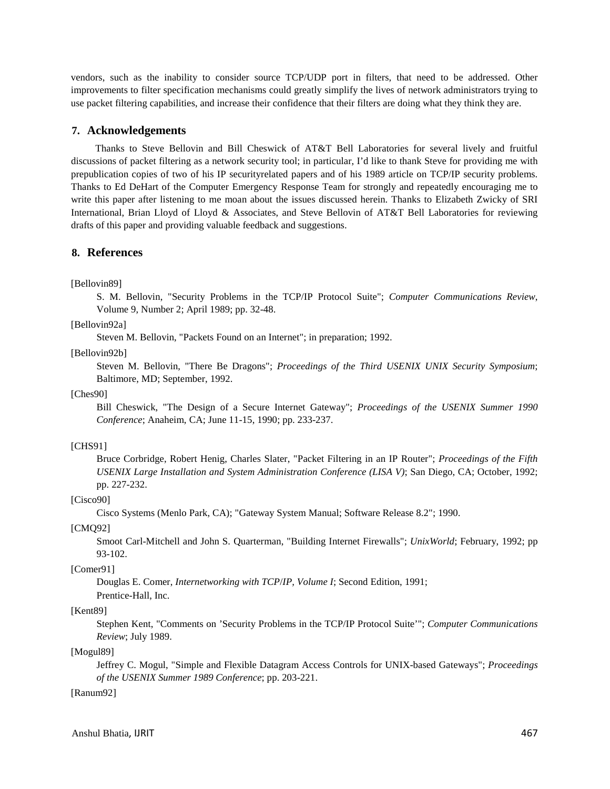vendors, such as the inability to consider source TCP/UDP port in filters, that need to be addressed. Other improvements to filter specification mechanisms could greatly simplify the lives of network administrators trying to use packet filtering capabilities, and increase their confidence that their filters are doing what they think they are.

# **7. Acknowledgements**

Thanks to Steve Bellovin and Bill Cheswick of AT&T Bell Laboratories for several lively and fruitful discussions of packet filtering as a network security tool; in particular, I'd like to thank Steve for providing me with prepublication copies of two of his IP securityrelated papers and of his 1989 article on TCP/IP security problems. Thanks to Ed DeHart of the Computer Emergency Response Team for strongly and repeatedly encouraging me to write this paper after listening to me moan about the issues discussed herein. Thanks to Elizabeth Zwicky of SRI International, Brian Lloyd of Lloyd & Associates, and Steve Bellovin of AT&T Bell Laboratories for reviewing drafts of this paper and providing valuable feedback and suggestions.

# **8. References**

[Bellovin89]

S. M. Bellovin, "Security Problems in the TCP/IP Protocol Suite"; *Computer Communications Review*, Volume 9, Number 2; April 1989; pp. 32-48.

[Bellovin92a]

Steven M. Bellovin, "Packets Found on an Internet"; in preparation; 1992.

[Bellovin92b]

Steven M. Bellovin, "There Be Dragons"; *Proceedings of the Third USENIX UNIX Security Symposium*; Baltimore, MD; September, 1992.

[Ches90]

Bill Cheswick, "The Design of a Secure Internet Gateway"; *Proceedings of the USENIX Summer 1990 Conference*; Anaheim, CA; June 11-15, 1990; pp. 233-237.

## [CHS91]

Bruce Corbridge, Robert Henig, Charles Slater, "Packet Filtering in an IP Router"; *Proceedings of the Fifth USENIX Large Installation and System Administration Conference (LISA V)*; San Diego, CA; October, 1992; pp. 227-232.

# [Cisco90]

Cisco Systems (Menlo Park, CA); "Gateway System Manual; Software Release 8.2"; 1990.

#### [CMQ92]

Smoot Carl-Mitchell and John S. Quarterman, "Building Internet Firewalls"; *UnixWorld*; February, 1992; pp 93-102.

## [Comer91]

Douglas E. Comer, *Internetworking with TCP*/*IP, Volume I*; Second Edition, 1991;

Prentice-Hall, Inc.

# [Kent89]

Stephen Kent, "Comments on 'Security Problems in the TCP/IP Protocol Suite'"; *Computer Communications Review*; July 1989.

# [Mogul89]

Jeffrey C. Mogul, "Simple and Flexible Datagram Access Controls for UNIX-based Gateways"; *Proceedings of the USENIX Summer 1989 Conference*; pp. 203-221.

#### [Ranum92]